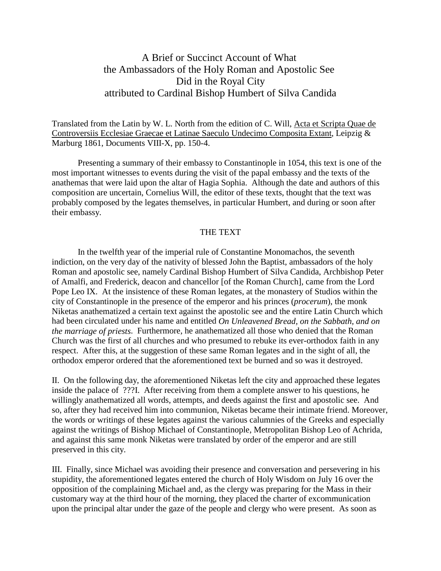## A Brief or Succinct Account of What the Ambassadors of the Holy Roman and Apostolic See Did in the Royal City attributed to Cardinal Bishop Humbert of Silva Candida

Translated from the Latin by W. L. North from the edition of C. Will, Acta et Scripta Quae de Controversiis Ecclesiae Graecae et Latinae Saeculo Undecimo Composita Extant, Leipzig & Marburg 1861, Documents VIII-X, pp. 150-4.

Presenting a summary of their embassy to Constantinople in 1054, this text is one of the most important witnesses to events during the visit of the papal embassy and the texts of the anathemas that were laid upon the altar of Hagia Sophia. Although the date and authors of this composition are uncertain, Cornelius Will, the editor of these texts, thought that the text was probably composed by the legates themselves, in particular Humbert, and during or soon after their embassy.

## THE TEXT

In the twelfth year of the imperial rule of Constantine Monomachos, the seventh indiction, on the very day of the nativity of blessed John the Baptist, ambassadors of the holy Roman and apostolic see, namely Cardinal Bishop Humbert of Silva Candida, Archbishop Peter of Amalfi, and Frederick, deacon and chancellor [of the Roman Church], came from the Lord Pope Leo IX. At the insistence of these Roman legates, at the monastery of Studios within the city of Constantinople in the presence of the emperor and his princes (*procerum*), the monk Niketas anathematized a certain text against the apostolic see and the entire Latin Church which had been circulated under his name and entitled *On Unleavened Bread, on the Sabbath, and on the marriage of priests*. Furthermore, he anathematized all those who denied that the Roman Church was the first of all churches and who presumed to rebuke its ever-orthodox faith in any respect. After this, at the suggestion of these same Roman legates and in the sight of all, the orthodox emperor ordered that the aforementioned text be burned and so was it destroyed.

II. On the following day, the aforementioned Niketas left the city and approached these legates inside the palace of ???I. After receiving from them a complete answer to his questions, he willingly anathematized all words, attempts, and deeds against the first and apostolic see. And so, after they had received him into communion, Niketas became their intimate friend. Moreover, the words or writings of these legates against the various calumnies of the Greeks and especially against the writings of Bishop Michael of Constantinople, Metropolitan Bishop Leo of Achrida, and against this same monk Niketas were translated by order of the emperor and are still preserved in this city.

III. Finally, since Michael was avoiding their presence and conversation and persevering in his stupidity, the aforementioned legates entered the church of Holy Wisdom on July 16 over the opposition of the complaining Michael and, as the clergy was preparing for the Mass in their customary way at the third hour of the morning, they placed the charter of excommunication upon the principal altar under the gaze of the people and clergy who were present. As soon as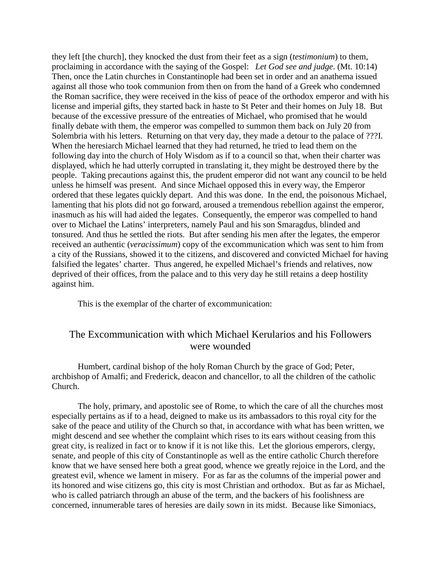they left [the church], they knocked the dust from their feet as a sign (*testimonium*) to them, proclaiming in accordance with the saying of the Gospel: *Let God see and judge*. (Mt. 10:14) Then, once the Latin churches in Constantinople had been set in order and an anathema issued against all those who took communion from then on from the hand of a Greek who condemned the Roman sacrifice, they were received in the kiss of peace of the orthodox emperor and with his license and imperial gifts, they started back in haste to St Peter and their homes on July 18. But because of the excessive pressure of the entreaties of Michael, who promised that he would finally debate with them, the emperor was compelled to summon them back on July 20 from Solembria with his letters. Returning on that very day, they made a detour to the palace of ???I. When the heresiarch Michael learned that they had returned, he tried to lead them on the following day into the church of Holy Wisdom as if to a council so that, when their charter was displayed, which he had utterly corrupted in translating it, they might be destroyed there by the people. Taking precautions against this, the prudent emperor did not want any council to be held unless he himself was present. And since Michael opposed this in every way, the Emperor ordered that these legates quickly depart. And this was done. In the end, the poisonous Michael, lamenting that his plots did not go forward, aroused a tremendous rebellion against the emperor, inasmuch as his will had aided the legates. Consequently, the emperor was compelled to hand over to Michael the Latins' interpreters, namely Paul and his son Smaragdus, blinded and tonsured. And thus he settled the riots. But after sending his men after the legates, the emperor received an authentic (*veracissimum*) copy of the excommunication which was sent to him from a city of the Russians, showed it to the citizens, and discovered and convicted Michael for having falsified the legates' charter. Thus angered, he expelled Michael's friends and relatives, now deprived of their offices, from the palace and to this very day he still retains a deep hostility against him.

This is the exemplar of the charter of excommunication:

## The Excommunication with which Michael Kerularios and his Followers were wounded

Humbert, cardinal bishop of the holy Roman Church by the grace of God; Peter, archbishop of Amalfi; and Frederick, deacon and chancellor, to all the children of the catholic Church.

The holy, primary, and apostolic see of Rome, to which the care of all the churches most especially pertains as if to a head, deigned to make us its ambassadors to this royal city for the sake of the peace and utility of the Church so that, in accordance with what has been written, we might descend and see whether the complaint which rises to its ears without ceasing from this great city, is realized in fact or to know if it is not like this. Let the glorious emperors, clergy, senate, and people of this city of Constantinople as well as the entire catholic Church therefore know that we have sensed here both a great good, whence we greatly rejoice in the Lord, and the greatest evil, whence we lament in misery. For as far as the columns of the imperial power and its honored and wise citizens go, this city is most Christian and orthodox. But as far as Michael, who is called patriarch through an abuse of the term, and the backers of his foolishness are concerned, innumerable tares of heresies are daily sown in its midst. Because like Simoniacs,